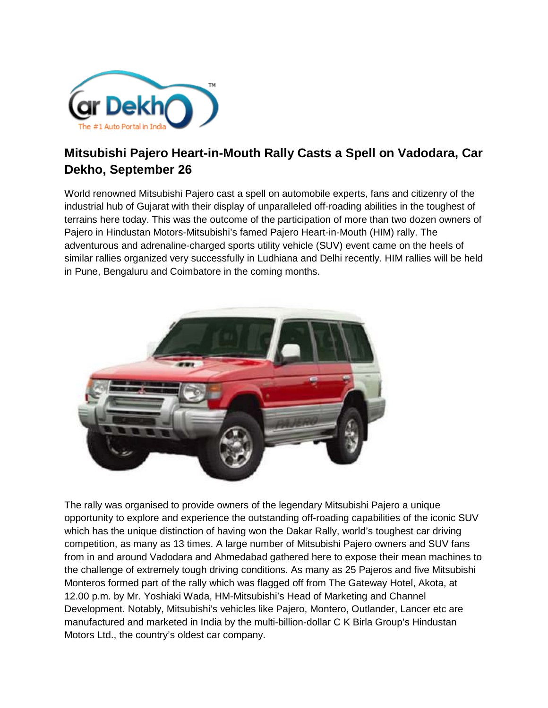

## **Mitsubishi Pajero Heart-in-Mouth Rally Casts a Spell on Vadodara, Car Dekho, September 26**

World renowned Mitsubishi Pajero cast a spell on automobile experts, fans and citizenry of the industrial hub of Gujarat with their display of unparalleled off-roading abilities in the toughest of terrains here today. This was the outcome of the participation of more than two dozen owners of Pajero in Hindustan Motors-Mitsubishi's famed Pajero Heart-in-Mouth (HIM) rally. The adventurous and adrenaline-charged sports utility vehicle (SUV) event came on the heels of similar rallies organized very successfully in Ludhiana and Delhi recently. HIM rallies will be held in Pune, Bengaluru and Coimbatore in the coming months.



The rally was organised to provide owners of the legendary Mitsubishi Pajero a unique opportunity to explore and experience the outstanding off-roading capabilities of the iconic SUV which has the unique distinction of having won the Dakar Rally, world's toughest car driving competition, as many as 13 times. A large number of Mitsubishi Pajero owners and SUV fans from in and around Vadodara and Ahmedabad gathered here to expose their mean machines to the challenge of extremely tough driving conditions. As many as 25 Pajeros and five Mitsubishi Monteros formed part of the rally which was flagged off from The Gateway Hotel, Akota, at 12.00 p.m. by Mr. Yoshiaki Wada, HM-Mitsubishi's Head of Marketing and Channel Development. Notably, Mitsubishi's vehicles like Pajero, Montero, Outlander, Lancer etc are manufactured and marketed in India by the multi-billion-dollar C K Birla Group's Hindustan Motors Ltd., the country's oldest car company.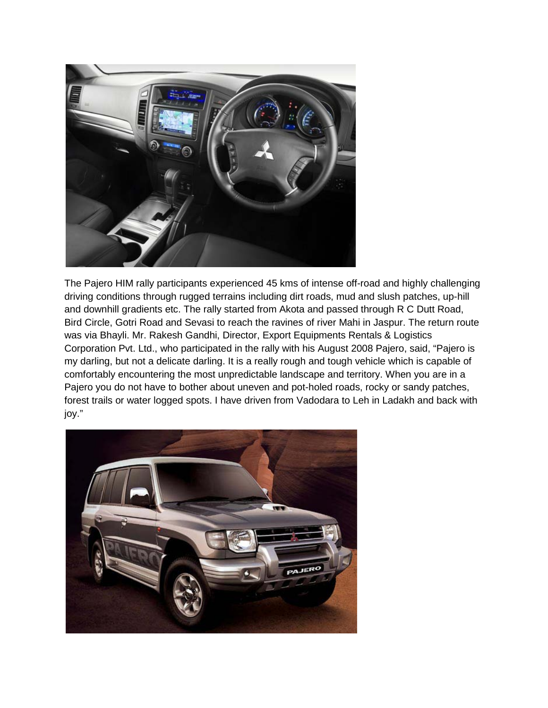

The Pajero HIM rally participants experienced 45 kms of intense off-road and highly challenging driving conditions through rugged terrains including dirt roads, mud and slush patches, up-hill and downhill gradients etc. The rally started from Akota and passed through R C Dutt Road, Bird Circle, Gotri Road and Sevasi to reach the ravines of river Mahi in Jaspur. The return route was via Bhayli. Mr. Rakesh Gandhi, Director, Export Equipments Rentals & Logistics Corporation Pvt. Ltd., who participated in the rally with his August 2008 Pajero, said, "Pajero is my darling, but not a delicate darling. It is a really rough and tough vehicle which is capable of comfortably encountering the most unpredictable landscape and territory. When you are in a Pajero you do not have to bother about uneven and pot-holed roads, rocky or sandy patches, forest trails or water logged spots. I have driven from Vadodara to Leh in Ladakh and back with joy."